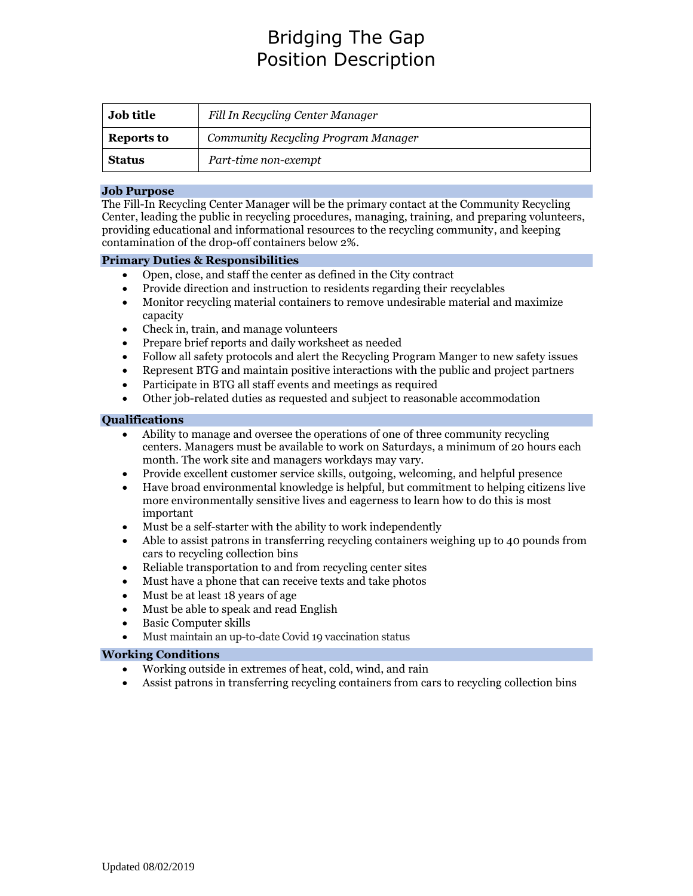# Bridging The Gap Position Description

| <b>Job title</b>  | Fill In Recycling Center Manager    |
|-------------------|-------------------------------------|
| <b>Reports to</b> | Community Recycling Program Manager |
| <b>Status</b>     | Part-time non-exempt                |

#### **Job Purpose**

The Fill-In Recycling Center Manager will be the primary contact at the Community Recycling Center, leading the public in recycling procedures, managing, training, and preparing volunteers, providing educational and informational resources to the recycling community, and keeping contamination of the drop-off containers below 2%.

#### **Primary Duties & Responsibilities**

- Open, close, and staff the center as defined in the City contract
- Provide direction and instruction to residents regarding their recyclables
- Monitor recycling material containers to remove undesirable material and maximize capacity
- Check in, train, and manage volunteers
- Prepare brief reports and daily worksheet as needed
- Follow all safety protocols and alert the Recycling Program Manger to new safety issues
- Represent BTG and maintain positive interactions with the public and project partners
- Participate in BTG all staff events and meetings as required
- Other job-related duties as requested and subject to reasonable accommodation

#### **Qualifications**

- Ability to manage and oversee the operations of one of three community recycling centers. Managers must be available to work on Saturdays, a minimum of 20 hours each month. The work site and managers workdays may vary.
- Provide excellent customer service skills, outgoing, welcoming, and helpful presence
- Have broad environmental knowledge is helpful, but commitment to helping citizens live more environmentally sensitive lives and eagerness to learn how to do this is most important
- Must be a self-starter with the ability to work independently
- Able to assist patrons in transferring recycling containers weighing up to 40 pounds from cars to recycling collection bins
- Reliable transportation to and from recycling center sites
- Must have a phone that can receive texts and take photos
- Must be at least 18 years of age
- Must be able to speak and read English
- Basic Computer skills
- Must maintain an up-to-date Covid 19 vaccination status

### **Working Conditions**

- Working outside in extremes of heat, cold, wind, and rain
- Assist patrons in transferring recycling containers from cars to recycling collection bins